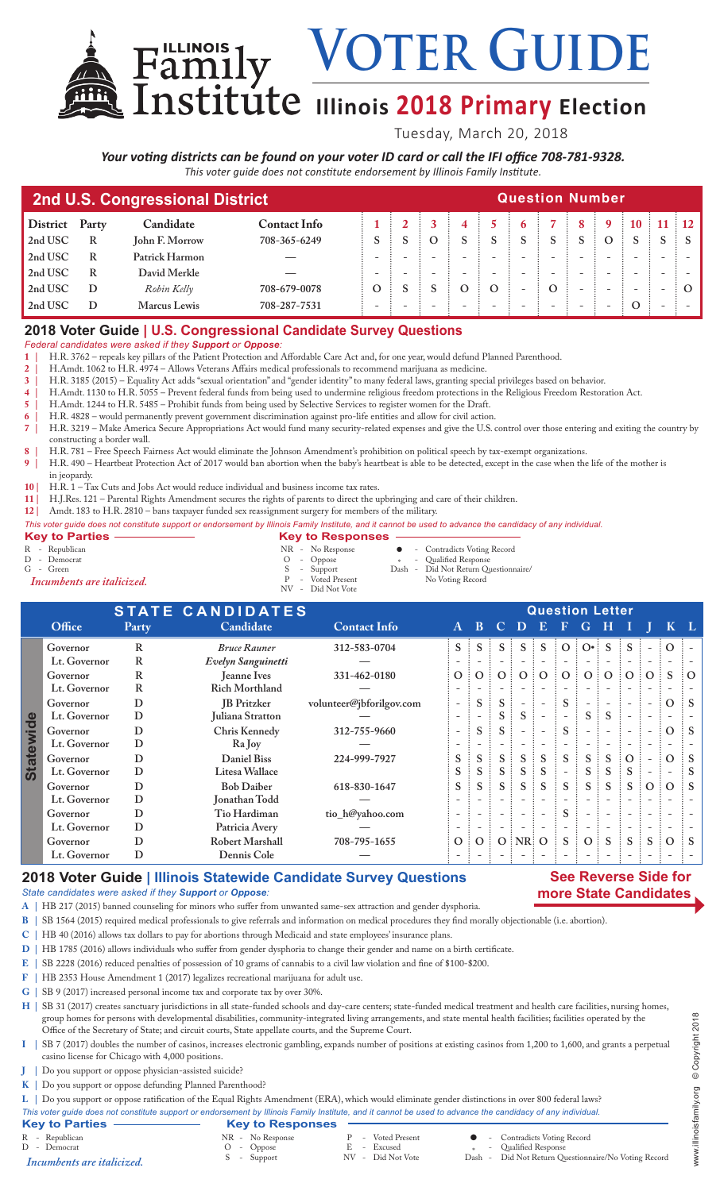VOTER GUIDE

# **Illinois 2018 Primary Election**

Tuesday, March 20, 2018

*Your voting districts can be found on your voter ID card or call the IFI office 708-781-9328. This voter guide does not constitute endorsement by Illinois Family Institute.*

| 2nd U.S. Congressional District | <b>Question Number</b> |                |                     |   |  |  |         |   |                          |   |                          |          |  |  |       |
|---------------------------------|------------------------|----------------|---------------------|---|--|--|---------|---|--------------------------|---|--------------------------|----------|--|--|-------|
| <b>District</b>                 | Party                  | Candidate      | <b>Contact Info</b> |   |  |  |         |   |                          |   |                          |          |  |  | 11:12 |
| 2nd USC                         | R                      | John F. Morrow | 708-365-6249        |   |  |  |         |   |                          |   |                          | $\Omega$ |  |  |       |
| 2nd USC                         | R                      | Patrick Harmon |                     |   |  |  |         |   |                          |   |                          |          |  |  |       |
| 2nd USC                         | R                      | David Merkle   |                     |   |  |  |         |   |                          |   |                          |          |  |  |       |
| 2nd USC                         |                        | Robin Kelly    | 708-679-0078        | Ω |  |  | $\circ$ | O | $\overline{\phantom{0}}$ | Ő | $\overline{\phantom{0}}$ |          |  |  |       |
| 2nd USC                         |                        | Marcus Lewis   | 708-287-7531        |   |  |  |         |   |                          |   |                          |          |  |  |       |

## **2018 Voter Guide | U.S. Congressional Candidate Survey Questions**

*Federal candidates were asked if they Support or Oppose:*

**1 |** H.R. 3762 – repeals key pillars of the Patient Protection and Affordable Care Act and, for one year, would defund Planned Parenthood.

**2 |** H.Amdt. 1062 to H.R. 4974 – Allows Veterans Affairs medical professionals to recommend marijuana as medicine.

**3 |** H.R. 3185 (2015) – Equality Act adds "sexual orientation" and "gender identity" to many federal laws, granting special privileges based on behavior.

**4 |** H.Amdt. 1130 to H.R. 5055 – Prevent federal funds from being used to undermine religious freedom protections in the Religious Freedom Restoration Act.

**5 |** H.Amdt. 1244 to H.R. 5485 – Prohibit funds from being used by Selective Services to register women for the Draft.

**6 |** H.R. 4828 – would permanently prevent government discrimination against pro-life entities and allow for civil action. **7 |** H.R. 3219 – Make America Secure Appropriations Act would fund many security-related expenses and give the U.S. control over those entering and exiting the country by constructing a border wall.

**8 |** H.R. 781 – Free Speech Fairness Act would eliminate the Johnson Amendment's prohibition on political speech by tax-exempt organizations.

**9 |** H.R. 490 – Heartbeat Protection Act of 2017 would ban abortion when the baby's heartbeat is able to be detected, except in the case when the life of the mother is

- in jeopardy.
- **10 |** H.R. 1 Tax Cuts and Jobs Act would reduce individual and business income tax rates.
- **11 |** H.J.Res. 121 Parental Rights Amendment secures the rights of parents to direct the upbringing and care of their children.
- **12 |** Amdt. 183 to H.R. 2810 bans taxpayer funded sex reassignment surgery for members of the military.

|                     | This voter quide does not constitute support or endorsement by Illinois Family Institute, and it cannot be used to advance the candidacy of any individual. |
|---------------------|-------------------------------------------------------------------------------------------------------------------------------------------------------------|
| Key to Parties -    | <b>Key to Responses -</b>                                                                                                                                   |
| $n \cdot n \cdot n$ | $\sim$ $\sim$ $\sim$ $\sim$ $\sim$ $\sim$ $\sim$<br>$\mathbf{m}$ $\mathbf{r}$ $\mathbf{n}$                                                                  |

R - Republican NR - No Response l - Contradicts Voting Record N - Republicant C - Oppose<br>
C - Green<br>
D - Democrat C - Oppose<br>
S - Support Dash -<br> *D - Voted Present* Dash -<br> *P* - Voted Present S - Support Dash - Did Not Return Questionnaire/<br>P - Voted Present No Voting Record P - Voted Present No Voting Record *Incumbents are italicized.* NV - Did Not Vote

|                  | <b>STATE CANDIDATES</b> |              |                        |                          |                          | <b>Question Letter</b>   |         |                          |                   |                |                          |              |                          |                          |          |                     |  |  |
|------------------|-------------------------|--------------|------------------------|--------------------------|--------------------------|--------------------------|---------|--------------------------|-------------------|----------------|--------------------------|--------------|--------------------------|--------------------------|----------|---------------------|--|--|
|                  | Office                  | Party        | Candidate              | <b>Contact Info</b>      | $\mathbf{A}$             | B.                       | $\bf C$ | D                        | E.                | Æ              | G                        | н            |                          |                          |          |                     |  |  |
|                  | Governor                | R            | <b>Bruce Rauner</b>    | 312-583-0704             | S                        |                          |         | $S^{\pm}$                | S                 | $\Omega$       | $\bigcap \bullet$ :      |              |                          |                          |          |                     |  |  |
|                  | Lt. Governor            | R            | Evelyn Sanguinetti     |                          |                          |                          |         |                          |                   |                |                          |              |                          |                          |          |                     |  |  |
|                  | Governor                | R            | Jeanne Ives            | 331-462-0180             | $\overline{O}$           | $\vdots$ O               | O:      | $\Omega$                 | $\frac{1}{2}$ O   | O:             | O:                       | $\Omega$     | $\vdots$ O               | $\Omega$                 | S        | $\Omega$            |  |  |
|                  | Lt. Governor            | $\mathbb{R}$ | <b>Rich Morthland</b>  |                          |                          |                          |         |                          |                   |                |                          |              |                          |                          |          |                     |  |  |
| <b>Statewide</b> | Governor                | D            | <b>IB</b> Pritzker     | volunteer@jbforilgov.com | $\overline{\phantom{a}}$ | S                        | S.      |                          |                   | S              |                          |              |                          |                          | $\Omega$ | $\ddot{\mathbf{s}}$ |  |  |
|                  | Lt. Governor            | D            | Juliana Stratton       |                          | $\overline{\phantom{a}}$ | $\overline{\phantom{0}}$ | S.      | S                        |                   |                | S.                       | S            | $\overline{\phantom{a}}$ |                          |          |                     |  |  |
|                  | Governor                | D            | Chris Kennedy          | 312-755-9660             | $\overline{\phantom{a}}$ | S                        | S       |                          |                   | S              | $\overline{\phantom{a}}$ |              |                          | $\overline{\phantom{a}}$ | $\Omega$ |                     |  |  |
|                  | Lt. Governor            | D            | Ra Joy                 |                          |                          |                          |         |                          |                   |                |                          |              |                          |                          |          |                     |  |  |
|                  | Governor                | D            | <b>Daniel Biss</b>     | 224-999-7927             | S                        | S                        | $S$ :   | S                        | S                 | S              | $S \nightharpoonup$      | S            | $\Omega$                 |                          | $\Omega$ |                     |  |  |
|                  | Lt. Governor            | D            | Litesa Wallace         |                          | S                        | S                        | $S$ :   | S                        | <sub>S</sub>      | $\overline{a}$ | $S \nightharpoonup$      | S            | S                        | $\overline{\phantom{a}}$ |          | $\vdots$ S          |  |  |
|                  | Governor                | D            | <b>Bob Daiber</b>      | 618-830-1647             | S                        | S                        | $S$ :   | S                        | <sub>S</sub><br>÷ | $S$ :          | $S \vdots$               | <sub>S</sub> | <sub>S</sub><br>÷        | $\Omega$                 | $\odot$  | $\ddot{\mathbf{s}}$ |  |  |
|                  | Lt. Governor            | D            | Jonathan Todd          |                          |                          |                          |         |                          |                   |                |                          |              |                          |                          |          |                     |  |  |
|                  | Governor                | D            | Tio Hardiman           | tio_h@yahoo.com          | $\overline{\phantom{a}}$ |                          |         | $\overline{\phantom{a}}$ |                   | S              | $\overline{\phantom{a}}$ |              |                          |                          |          |                     |  |  |
|                  | Lt. Governor            | D            | Patricia Avery         |                          | $\overline{\phantom{a}}$ |                          |         |                          |                   |                | $\overline{\phantom{0}}$ |              |                          | $\qquad \qquad$          |          |                     |  |  |
|                  | Governor                | D            | <b>Robert Marshall</b> | 708-795-1655             |                          | 0:0                      |         | $O$ : NR: O              |                   | S              | $\Omega$                 | S            | S                        | S                        | $\Omega$ |                     |  |  |
|                  | Lt. Governor            | D            | Dennis Cole            |                          |                          |                          |         |                          |                   |                |                          |              |                          |                          |          |                     |  |  |

## **2018 Voter Guide | Illinois Statewide Candidate Survey Questions**

#### **See Reverse Side for more State Candidates**

*State candidates were asked if they Support or Oppose:*

**A |** HB 217 (2015) banned counseling for minors who suffer from unwanted same-sex attraction and gender dysphoria.

- **B |** SB 1564 (2015) required medical professionals to give referrals and information on medical procedures they find morally objectionable (i.e. abortion).
- **C |** HB 40 (2016) allows tax dollars to pay for abortions through Medicaid and state employees' insurance plans.
- **D |** HB 1785 (2016) allows individuals who suffer from gender dysphoria to change their gender and name on a birth certificate.
- **E |** SB 2228 (2016) reduced penalties of possession of 10 grams of cannabis to a civil law violation and fine of \$100-\$200.<br>**F |** HB 2353 House Amendment 1 (2017) legalizes recreational marijuana for adult use.
- **F |** HB 2353 House Amendment 1 (2017) legalizes recreational marijuana for adult use.
- **G |** SB 9 (2017) increased personal income tax and corporate tax by over 30%.

H | SB 31 (2017) creates sanctuary jurisdictions in all state-funded schools and day-care centers; state-funded medical treatment and health care facilities, nursing homes, group homes for persons with developmental disabilities, community-integrated living arrangements, and state mental health facilities; facilities operated by the Office of the Secretary of State; and circuit courts, State appellate courts, and the Supreme Court.

- **I |** SB 7 (2017) doubles the number of casinos, increases electronic gambling, expands number of positions at existing casinos from 1,200 to 1,600, and grants a perpetual casino license for Chicago with 4,000 positions.
- **J |** Do you support or oppose physician-assisted suicide?
- **K |** Do you support or oppose defunding Planned Parenthood?

**L |** Do you support or oppose ratification of the Equal Rights Amendment (ERA), which would eliminate gender distinctions in over 800 federal laws?

- 
- *This voter guide does not constitute support or endorsement by Illinois Family Institute, and it cannot be used to advance the candidacy of any individual.* **Key to Parties**<br>
R - Republican<br>
D - Democrat<br>
Incumbents are italicized.<br>
MR - No Response<br>
O - Oppose<br>
S - Support R - Voted Present **C** - Contradicts Voting Record<br>
R - Excused \* - Qualified Response<br>
NR - Did Not Vote Dash - Did Not Return Questionn <sup>D</sup> - Democrat <sup>O</sup> - Oppose <sup>E</sup> - Excused \* - Qualified Response S - Support NV - Did Not Vote Dash - Did Not Return Questionnaire/No Voting Record *Incumbents are italicized.*